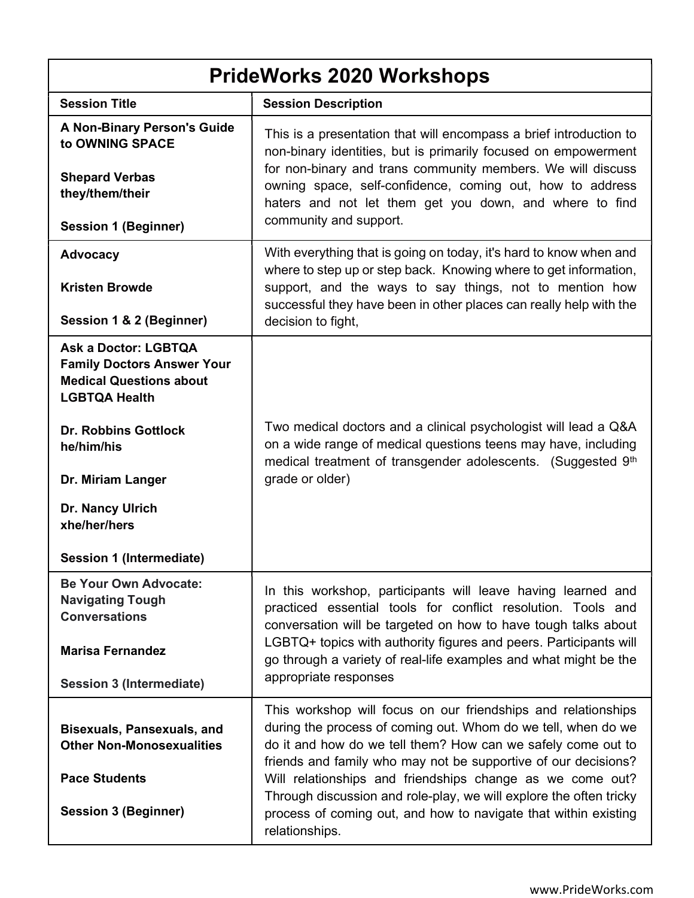| <b>PrideWorks 2020 Workshops</b>                                                                                           |                                                                                                                                                                                                                                                                  |
|----------------------------------------------------------------------------------------------------------------------------|------------------------------------------------------------------------------------------------------------------------------------------------------------------------------------------------------------------------------------------------------------------|
| <b>Session Title</b>                                                                                                       | <b>Session Description</b>                                                                                                                                                                                                                                       |
| <b>A Non-Binary Person's Guide</b><br>to OWNING SPACE                                                                      | This is a presentation that will encompass a brief introduction to<br>non-binary identities, but is primarily focused on empowerment                                                                                                                             |
| <b>Shepard Verbas</b><br>they/them/their                                                                                   | for non-binary and trans community members. We will discuss<br>owning space, self-confidence, coming out, how to address<br>haters and not let them get you down, and where to find                                                                              |
| <b>Session 1 (Beginner)</b>                                                                                                | community and support.                                                                                                                                                                                                                                           |
| <b>Advocacy</b>                                                                                                            | With everything that is going on today, it's hard to know when and<br>where to step up or step back. Knowing where to get information,                                                                                                                           |
| <b>Kristen Browde</b>                                                                                                      | support, and the ways to say things, not to mention how<br>successful they have been in other places can really help with the                                                                                                                                    |
| Session 1 & 2 (Beginner)                                                                                                   | decision to fight,                                                                                                                                                                                                                                               |
| <b>Ask a Doctor: LGBTQA</b><br><b>Family Doctors Answer Your</b><br><b>Medical Questions about</b><br><b>LGBTQA Health</b> |                                                                                                                                                                                                                                                                  |
| <b>Dr. Robbins Gottlock</b><br>he/him/his                                                                                  | Two medical doctors and a clinical psychologist will lead a Q&A<br>on a wide range of medical questions teens may have, including<br>medical treatment of transgender adolescents. (Suggested 9th                                                                |
| Dr. Miriam Langer                                                                                                          | grade or older)                                                                                                                                                                                                                                                  |
| Dr. Nancy Ulrich<br>xhe/her/hers                                                                                           |                                                                                                                                                                                                                                                                  |
| Session 1 (Intermediate)                                                                                                   |                                                                                                                                                                                                                                                                  |
| <b>Be Your Own Advocate:</b><br><b>Navigating Tough</b><br><b>Conversations</b>                                            | In this workshop, participants will leave having learned and<br>practiced essential tools for conflict resolution. Tools and<br>conversation will be targeted on how to have tough talks about                                                                   |
| <b>Marisa Fernandez</b>                                                                                                    | LGBTQ+ topics with authority figures and peers. Participants will<br>go through a variety of real-life examples and what might be the<br>appropriate responses                                                                                                   |
| <b>Session 3 (Intermediate)</b>                                                                                            |                                                                                                                                                                                                                                                                  |
| <b>Bisexuals, Pansexuals, and</b><br><b>Other Non-Monosexualities</b>                                                      | This workshop will focus on our friendships and relationships<br>during the process of coming out. Whom do we tell, when do we<br>do it and how do we tell them? How can we safely come out to<br>friends and family who may not be supportive of our decisions? |
| <b>Pace Students</b><br><b>Session 3 (Beginner)</b>                                                                        | Will relationships and friendships change as we come out?<br>Through discussion and role-play, we will explore the often tricky<br>process of coming out, and how to navigate that within existing<br>relationships.                                             |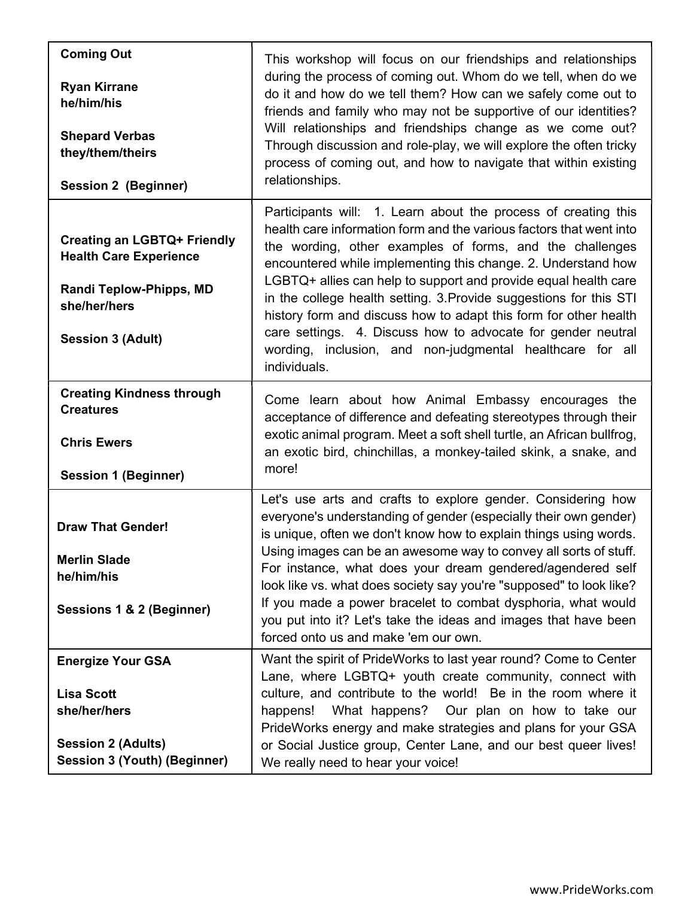| <b>Coming Out</b><br><b>Ryan Kirrane</b><br>he/him/his<br><b>Shepard Verbas</b><br>they/them/theirs<br><b>Session 2 (Beginner)</b>         | This workshop will focus on our friendships and relationships<br>during the process of coming out. Whom do we tell, when do we<br>do it and how do we tell them? How can we safely come out to<br>friends and family who may not be supportive of our identities?<br>Will relationships and friendships change as we come out?<br>Through discussion and role-play, we will explore the often tricky<br>process of coming out, and how to navigate that within existing<br>relationships.                                                                                                                                    |
|--------------------------------------------------------------------------------------------------------------------------------------------|------------------------------------------------------------------------------------------------------------------------------------------------------------------------------------------------------------------------------------------------------------------------------------------------------------------------------------------------------------------------------------------------------------------------------------------------------------------------------------------------------------------------------------------------------------------------------------------------------------------------------|
| <b>Creating an LGBTQ+ Friendly</b><br><b>Health Care Experience</b><br>Randi Teplow-Phipps, MD<br>she/her/hers<br><b>Session 3 (Adult)</b> | Participants will: 1. Learn about the process of creating this<br>health care information form and the various factors that went into<br>the wording, other examples of forms, and the challenges<br>encountered while implementing this change. 2. Understand how<br>LGBTQ+ allies can help to support and provide equal health care<br>in the college health setting. 3. Provide suggestions for this STI<br>history form and discuss how to adapt this form for other health<br>care settings. 4. Discuss how to advocate for gender neutral<br>wording, inclusion, and non-judgmental healthcare for all<br>individuals. |
| <b>Creating Kindness through</b><br><b>Creatures</b><br><b>Chris Ewers</b><br><b>Session 1 (Beginner)</b>                                  | Come learn about how Animal Embassy encourages the<br>acceptance of difference and defeating stereotypes through their<br>exotic animal program. Meet a soft shell turtle, an African bullfrog,<br>an exotic bird, chinchillas, a monkey-tailed skink, a snake, and<br>more!                                                                                                                                                                                                                                                                                                                                                 |
| <b>Draw That Gender!</b><br><b>Merlin Slade</b><br>he/him/his<br>Sessions 1 & 2 (Beginner)                                                 | Let's use arts and crafts to explore gender. Considering how<br>everyone's understanding of gender (especially their own gender)<br>is unique, often we don't know how to explain things using words.<br>Using images can be an awesome way to convey all sorts of stuff.<br>For instance, what does your dream gendered/agendered self<br>look like vs. what does society say you're "supposed" to look like?<br>If you made a power bracelet to combat dysphoria, what would<br>you put into it? Let's take the ideas and images that have been<br>forced onto us and make 'em our own.                                    |
| <b>Energize Your GSA</b><br><b>Lisa Scott</b><br>she/her/hers<br><b>Session 2 (Adults)</b><br><b>Session 3 (Youth) (Beginner)</b>          | Want the spirit of PrideWorks to last year round? Come to Center<br>Lane, where LGBTQ+ youth create community, connect with<br>culture, and contribute to the world! Be in the room where it<br>What happens? Our plan on how to take our<br>happens!<br>PrideWorks energy and make strategies and plans for your GSA<br>or Social Justice group, Center Lane, and our best queer lives!<br>We really need to hear your voice!                                                                                                                                                                                               |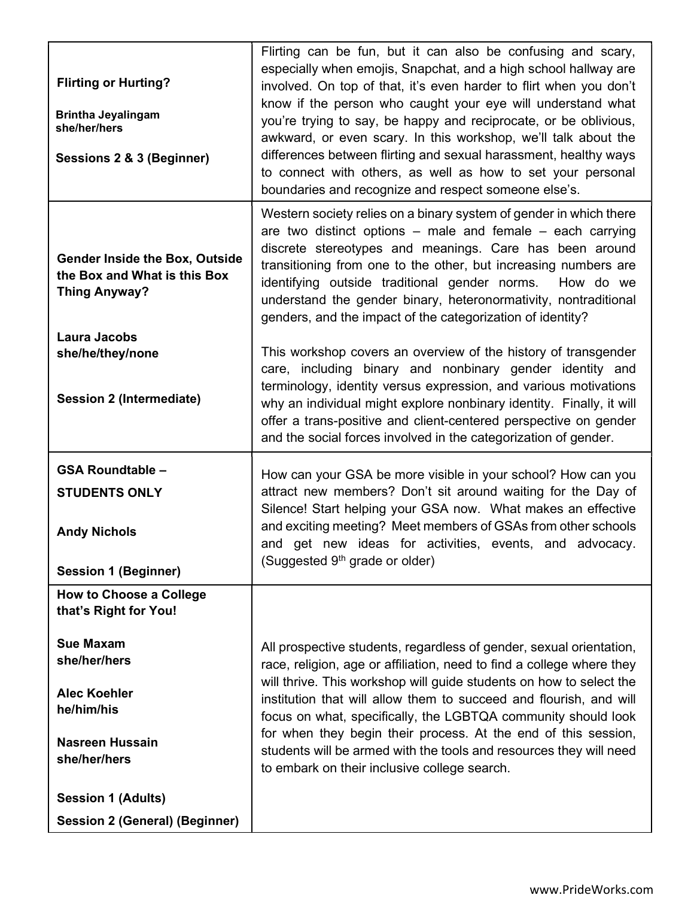| <b>Flirting or Hurting?</b><br><b>Brintha Jeyalingam</b><br>she/her/hers<br>Sessions 2 & 3 (Beginner)                                                                      | Flirting can be fun, but it can also be confusing and scary,<br>especially when emojis, Snapchat, and a high school hallway are<br>involved. On top of that, it's even harder to flirt when you don't<br>know if the person who caught your eye will understand what<br>you're trying to say, be happy and reciprocate, or be oblivious,<br>awkward, or even scary. In this workshop, we'll talk about the<br>differences between flirting and sexual harassment, healthy ways<br>to connect with others, as well as how to set your personal<br>boundaries and recognize and respect someone else's. |
|----------------------------------------------------------------------------------------------------------------------------------------------------------------------------|-------------------------------------------------------------------------------------------------------------------------------------------------------------------------------------------------------------------------------------------------------------------------------------------------------------------------------------------------------------------------------------------------------------------------------------------------------------------------------------------------------------------------------------------------------------------------------------------------------|
| <b>Gender Inside the Box, Outside</b><br>the Box and What is this Box<br><b>Thing Anyway?</b><br><b>Laura Jacobs</b>                                                       | Western society relies on a binary system of gender in which there<br>are two distinct options $-$ male and female $-$ each carrying<br>discrete stereotypes and meanings. Care has been around<br>transitioning from one to the other, but increasing numbers are<br>identifying outside traditional gender norms.<br>How do we<br>understand the gender binary, heteronormativity, nontraditional<br>genders, and the impact of the categorization of identity?                                                                                                                                     |
| she/he/they/none<br><b>Session 2 (Intermediate)</b>                                                                                                                        | This workshop covers an overview of the history of transgender<br>care, including binary and nonbinary gender identity and<br>terminology, identity versus expression, and various motivations<br>why an individual might explore nonbinary identity. Finally, it will<br>offer a trans-positive and client-centered perspective on gender<br>and the social forces involved in the categorization of gender.                                                                                                                                                                                         |
| <b>GSA Roundtable -</b><br><b>STUDENTS ONLY</b><br><b>Andy Nichols</b><br><b>Session 1 (Beginner)</b>                                                                      | How can your GSA be more visible in your school? How can you<br>attract new members? Don't sit around waiting for the Day of<br>Silence! Start helping your GSA now. What makes an effective<br>and exciting meeting? Meet members of GSAs from other schools<br>and get new ideas for activities, events, and advocacy.<br>(Suggested 9 <sup>th</sup> grade or older)                                                                                                                                                                                                                                |
| <b>How to Choose a College</b><br>that's Right for You!<br><b>Sue Maxam</b><br>she/her/hers<br><b>Alec Koehler</b><br>he/him/his<br><b>Nasreen Hussain</b><br>she/her/hers | All prospective students, regardless of gender, sexual orientation,<br>race, religion, age or affiliation, need to find a college where they<br>will thrive. This workshop will guide students on how to select the<br>institution that will allow them to succeed and flourish, and will<br>focus on what, specifically, the LGBTQA community should look<br>for when they begin their process. At the end of this session,<br>students will be armed with the tools and resources they will need<br>to embark on their inclusive college search.                                                    |
| <b>Session 1 (Adults)</b><br><b>Session 2 (General) (Beginner)</b>                                                                                                         |                                                                                                                                                                                                                                                                                                                                                                                                                                                                                                                                                                                                       |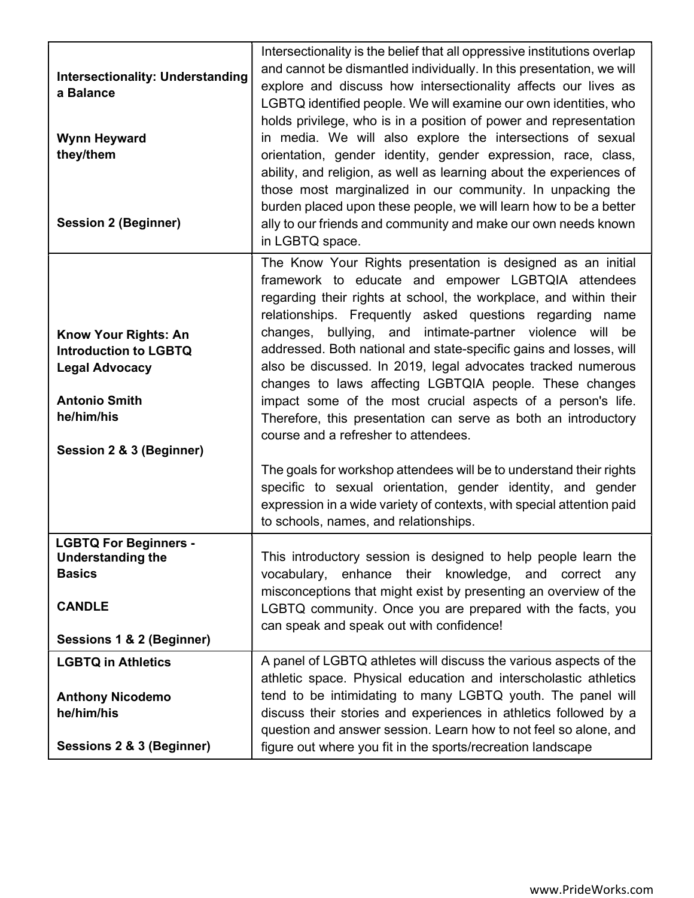| <b>Intersectionality: Understanding</b><br>a Balance<br><b>Wynn Heyward</b><br>they/them<br><b>Session 2 (Beginner)</b> | Intersectionality is the belief that all oppressive institutions overlap<br>and cannot be dismantled individually. In this presentation, we will<br>explore and discuss how intersectionality affects our lives as<br>LGBTQ identified people. We will examine our own identities, who<br>holds privilege, who is in a position of power and representation<br>in media. We will also explore the intersections of sexual<br>orientation, gender identity, gender expression, race, class,<br>ability, and religion, as well as learning about the experiences of<br>those most marginalized in our community. In unpacking the<br>burden placed upon these people, we will learn how to be a better<br>ally to our friends and community and make our own needs known<br>in LGBTQ space. |
|-------------------------------------------------------------------------------------------------------------------------|-------------------------------------------------------------------------------------------------------------------------------------------------------------------------------------------------------------------------------------------------------------------------------------------------------------------------------------------------------------------------------------------------------------------------------------------------------------------------------------------------------------------------------------------------------------------------------------------------------------------------------------------------------------------------------------------------------------------------------------------------------------------------------------------|
| <b>Know Your Rights: An</b><br><b>Introduction to LGBTQ</b>                                                             | The Know Your Rights presentation is designed as an initial<br>framework to educate and empower LGBTQIA attendees<br>regarding their rights at school, the workplace, and within their<br>relationships. Frequently asked questions regarding name<br>bullying, and intimate-partner violence will be<br>changes,<br>addressed. Both national and state-specific gains and losses, will                                                                                                                                                                                                                                                                                                                                                                                                   |
| <b>Legal Advocacy</b><br><b>Antonio Smith</b><br>he/him/his                                                             | also be discussed. In 2019, legal advocates tracked numerous<br>changes to laws affecting LGBTQIA people. These changes<br>impact some of the most crucial aspects of a person's life.<br>Therefore, this presentation can serve as both an introductory                                                                                                                                                                                                                                                                                                                                                                                                                                                                                                                                  |
| Session 2 & 3 (Beginner)                                                                                                | course and a refresher to attendees.<br>The goals for workshop attendees will be to understand their rights<br>specific to sexual orientation, gender identity, and gender<br>expression in a wide variety of contexts, with special attention paid<br>to schools, names, and relationships.                                                                                                                                                                                                                                                                                                                                                                                                                                                                                              |
| <b>LGBTQ For Beginners -</b><br><b>Understanding the</b><br><b>Basics</b><br><b>CANDLE</b><br>Sessions 1 & 2 (Beginner) | This introductory session is designed to help people learn the<br>vocabulary, enhance their knowledge, and correct<br>any<br>misconceptions that might exist by presenting an overview of the<br>LGBTQ community. Once you are prepared with the facts, you<br>can speak and speak out with confidence!                                                                                                                                                                                                                                                                                                                                                                                                                                                                                   |
| <b>LGBTQ in Athletics</b><br><b>Anthony Nicodemo</b><br>he/him/his<br>Sessions 2 & 3 (Beginner)                         | A panel of LGBTQ athletes will discuss the various aspects of the<br>athletic space. Physical education and interscholastic athletics<br>tend to be intimidating to many LGBTQ youth. The panel will<br>discuss their stories and experiences in athletics followed by a<br>question and answer session. Learn how to not feel so alone, and<br>figure out where you fit in the sports/recreation landscape                                                                                                                                                                                                                                                                                                                                                                               |
|                                                                                                                         |                                                                                                                                                                                                                                                                                                                                                                                                                                                                                                                                                                                                                                                                                                                                                                                           |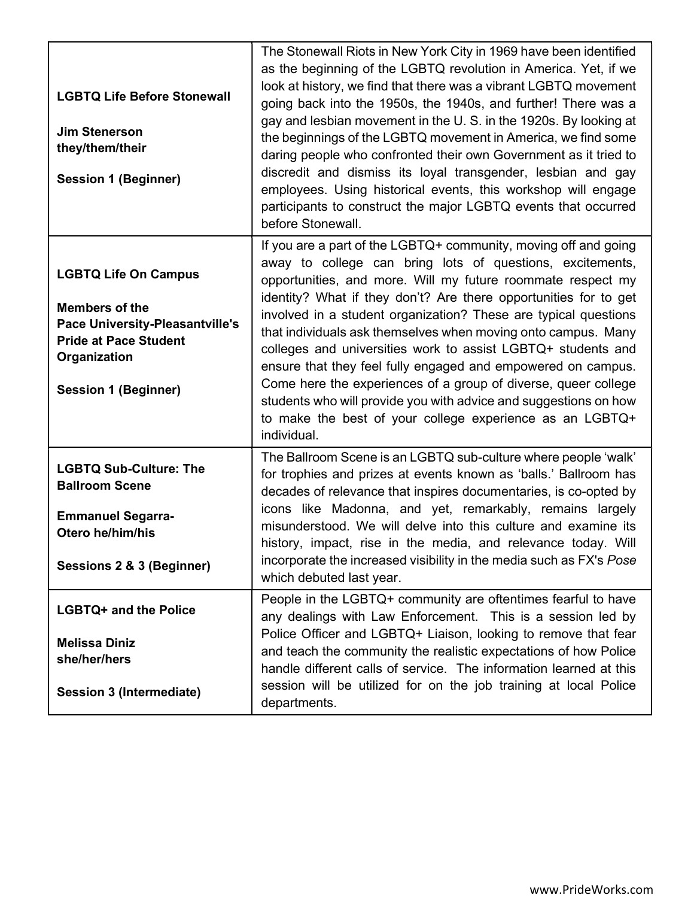| <b>LGBTQ Life Before Stonewall</b><br><b>Jim Stenerson</b><br>they/them/their<br><b>Session 1 (Beginner)</b>                                                                  | The Stonewall Riots in New York City in 1969 have been identified<br>as the beginning of the LGBTQ revolution in America. Yet, if we<br>look at history, we find that there was a vibrant LGBTQ movement<br>going back into the 1950s, the 1940s, and further! There was a<br>gay and lesbian movement in the U.S. in the 1920s. By looking at<br>the beginnings of the LGBTQ movement in America, we find some<br>daring people who confronted their own Government as it tried to<br>discredit and dismiss its loyal transgender, lesbian and gay<br>employees. Using historical events, this workshop will engage<br>participants to construct the major LGBTQ events that occurred<br>before Stonewall.                                          |
|-------------------------------------------------------------------------------------------------------------------------------------------------------------------------------|------------------------------------------------------------------------------------------------------------------------------------------------------------------------------------------------------------------------------------------------------------------------------------------------------------------------------------------------------------------------------------------------------------------------------------------------------------------------------------------------------------------------------------------------------------------------------------------------------------------------------------------------------------------------------------------------------------------------------------------------------|
| <b>LGBTQ Life On Campus</b><br><b>Members of the</b><br><b>Pace University-Pleasantville's</b><br><b>Pride at Pace Student</b><br>Organization<br><b>Session 1 (Beginner)</b> | If you are a part of the LGBTQ+ community, moving off and going<br>away to college can bring lots of questions, excitements,<br>opportunities, and more. Will my future roommate respect my<br>identity? What if they don't? Are there opportunities for to get<br>involved in a student organization? These are typical questions<br>that individuals ask themselves when moving onto campus. Many<br>colleges and universities work to assist LGBTQ+ students and<br>ensure that they feel fully engaged and empowered on campus.<br>Come here the experiences of a group of diverse, queer college<br>students who will provide you with advice and suggestions on how<br>to make the best of your college experience as an LGBTQ+<br>individual. |
| <b>LGBTQ Sub-Culture: The</b><br><b>Ballroom Scene</b><br><b>Emmanuel Segarra-</b><br>Otero he/him/his<br>Sessions 2 & 3 (Beginner)                                           | The Ballroom Scene is an LGBTQ sub-culture where people 'walk'<br>for trophies and prizes at events known as 'balls.' Ballroom has<br>decades of relevance that inspires documentaries, is co-opted by<br>icons like Madonna, and yet, remarkably, remains largely<br>misunderstood. We will delve into this culture and examine its<br>history, impact, rise in the media, and relevance today. Will<br>incorporate the increased visibility in the media such as FX's Pose<br>which debuted last year.                                                                                                                                                                                                                                             |
| <b>LGBTQ+ and the Police</b><br><b>Melissa Diniz</b><br>she/her/hers<br><b>Session 3 (Intermediate)</b>                                                                       | People in the LGBTQ+ community are oftentimes fearful to have<br>any dealings with Law Enforcement. This is a session led by<br>Police Officer and LGBTQ+ Liaison, looking to remove that fear<br>and teach the community the realistic expectations of how Police<br>handle different calls of service. The information learned at this<br>session will be utilized for on the job training at local Police<br>departments.                                                                                                                                                                                                                                                                                                                         |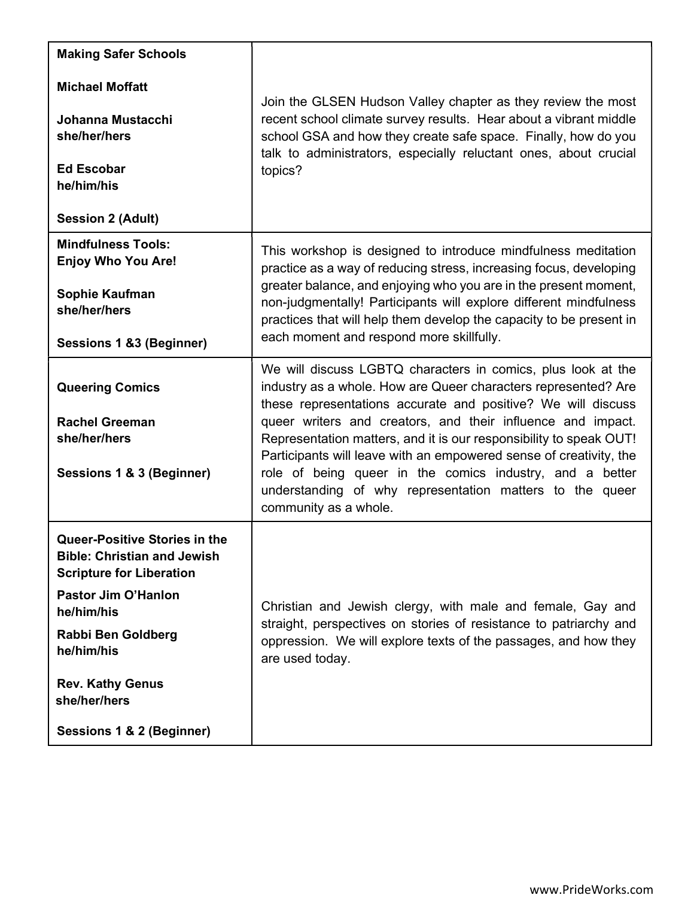| <b>Making Safer Schools</b>                                                                                                                                                                                                                                    |                                                                                                                                                                                                                                                                                                                                                                                                                                                                                                                                                            |
|----------------------------------------------------------------------------------------------------------------------------------------------------------------------------------------------------------------------------------------------------------------|------------------------------------------------------------------------------------------------------------------------------------------------------------------------------------------------------------------------------------------------------------------------------------------------------------------------------------------------------------------------------------------------------------------------------------------------------------------------------------------------------------------------------------------------------------|
| <b>Michael Moffatt</b><br>Johanna Mustacchi<br>she/her/hers<br><b>Ed Escobar</b><br>he/him/his<br><b>Session 2 (Adult)</b>                                                                                                                                     | Join the GLSEN Hudson Valley chapter as they review the most<br>recent school climate survey results. Hear about a vibrant middle<br>school GSA and how they create safe space. Finally, how do you<br>talk to administrators, especially reluctant ones, about crucial<br>topics?                                                                                                                                                                                                                                                                         |
| <b>Mindfulness Tools:</b><br><b>Enjoy Who You Are!</b><br>Sophie Kaufman<br>she/her/hers<br>Sessions 1 &3 (Beginner)                                                                                                                                           | This workshop is designed to introduce mindfulness meditation<br>practice as a way of reducing stress, increasing focus, developing<br>greater balance, and enjoying who you are in the present moment,<br>non-judgmentally! Participants will explore different mindfulness<br>practices that will help them develop the capacity to be present in<br>each moment and respond more skillfully.                                                                                                                                                            |
| <b>Queering Comics</b><br><b>Rachel Greeman</b><br>she/her/hers<br>Sessions 1 & 3 (Beginner)                                                                                                                                                                   | We will discuss LGBTQ characters in comics, plus look at the<br>industry as a whole. How are Queer characters represented? Are<br>these representations accurate and positive? We will discuss<br>queer writers and creators, and their influence and impact.<br>Representation matters, and it is our responsibility to speak OUT!<br>Participants will leave with an empowered sense of creativity, the<br>role of being queer in the comics industry, and a better<br>understanding of why representation matters to the queer<br>community as a whole. |
| Queer-Positive Stories in the<br><b>Bible: Christian and Jewish</b><br><b>Scripture for Liberation</b><br><b>Pastor Jim O'Hanlon</b><br>he/him/his<br>Rabbi Ben Goldberg<br>he/him/his<br><b>Rev. Kathy Genus</b><br>she/her/hers<br>Sessions 1 & 2 (Beginner) | Christian and Jewish clergy, with male and female, Gay and<br>straight, perspectives on stories of resistance to patriarchy and<br>oppression. We will explore texts of the passages, and how they<br>are used today.                                                                                                                                                                                                                                                                                                                                      |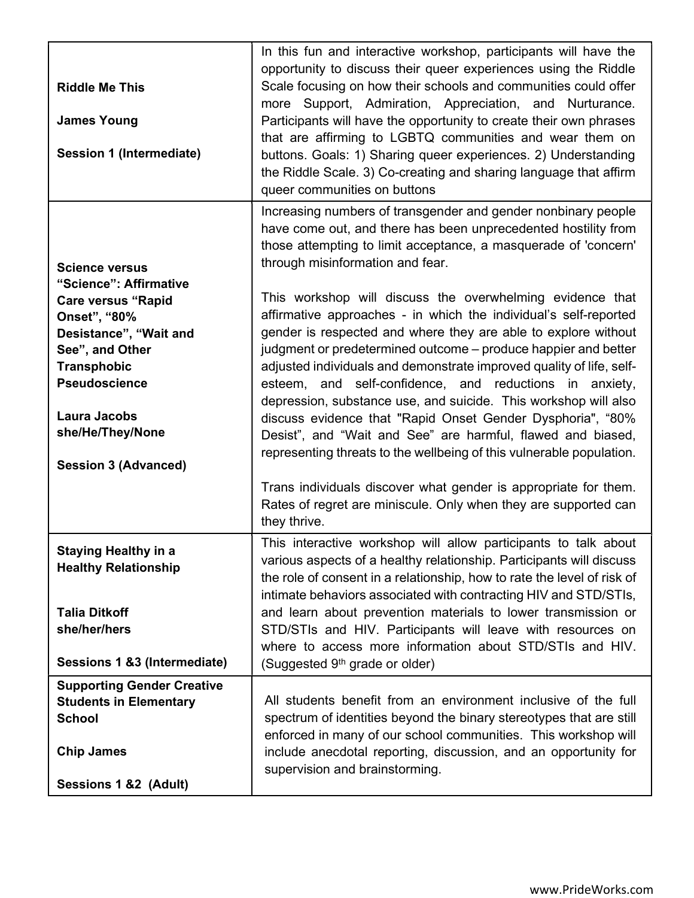| <b>Riddle Me This</b><br><b>James Young</b><br>Session 1 (Intermediate)                                                                                                                                                                                           | In this fun and interactive workshop, participants will have the<br>opportunity to discuss their queer experiences using the Riddle<br>Scale focusing on how their schools and communities could offer<br>more Support, Admiration, Appreciation, and Nurturance.<br>Participants will have the opportunity to create their own phrases<br>that are affirming to LGBTQ communities and wear them on<br>buttons. Goals: 1) Sharing queer experiences. 2) Understanding<br>the Riddle Scale. 3) Co-creating and sharing language that affirm<br>queer communities on buttons                                                                                                                                                                                                                                                                                                                                                                                                                |
|-------------------------------------------------------------------------------------------------------------------------------------------------------------------------------------------------------------------------------------------------------------------|-------------------------------------------------------------------------------------------------------------------------------------------------------------------------------------------------------------------------------------------------------------------------------------------------------------------------------------------------------------------------------------------------------------------------------------------------------------------------------------------------------------------------------------------------------------------------------------------------------------------------------------------------------------------------------------------------------------------------------------------------------------------------------------------------------------------------------------------------------------------------------------------------------------------------------------------------------------------------------------------|
| <b>Science versus</b><br>"Science": Affirmative<br><b>Care versus "Rapid</b><br>Onset", "80%<br>Desistance", "Wait and<br>See", and Other<br><b>Transphobic</b><br><b>Pseudoscience</b><br><b>Laura Jacobs</b><br>she/He/They/None<br><b>Session 3 (Advanced)</b> | Increasing numbers of transgender and gender nonbinary people<br>have come out, and there has been unprecedented hostility from<br>those attempting to limit acceptance, a masquerade of 'concern'<br>through misinformation and fear.<br>This workshop will discuss the overwhelming evidence that<br>affirmative approaches - in which the individual's self-reported<br>gender is respected and where they are able to explore without<br>judgment or predetermined outcome - produce happier and better<br>adjusted individuals and demonstrate improved quality of life, self-<br>esteem, and self-confidence, and reductions in anxiety,<br>depression, substance use, and suicide. This workshop will also<br>discuss evidence that "Rapid Onset Gender Dysphoria", "80%<br>Desist", and "Wait and See" are harmful, flawed and biased,<br>representing threats to the wellbeing of this vulnerable population.<br>Trans individuals discover what gender is appropriate for them. |
|                                                                                                                                                                                                                                                                   | Rates of regret are miniscule. Only when they are supported can<br>they thrive.                                                                                                                                                                                                                                                                                                                                                                                                                                                                                                                                                                                                                                                                                                                                                                                                                                                                                                           |
| <b>Staying Healthy in a</b><br><b>Healthy Relationship</b><br><b>Talia Ditkoff</b><br>she/her/hers<br>Sessions 1 &3 (Intermediate)                                                                                                                                | This interactive workshop will allow participants to talk about<br>various aspects of a healthy relationship. Participants will discuss<br>the role of consent in a relationship, how to rate the level of risk of<br>intimate behaviors associated with contracting HIV and STD/STIs,<br>and learn about prevention materials to lower transmission or<br>STD/STIs and HIV. Participants will leave with resources on<br>where to access more information about STD/STIs and HIV.<br>(Suggested 9 <sup>th</sup> grade or older)                                                                                                                                                                                                                                                                                                                                                                                                                                                          |
| <b>Supporting Gender Creative</b><br><b>Students in Elementary</b><br><b>School</b><br><b>Chip James</b><br>Sessions 1 &2 (Adult)                                                                                                                                 | All students benefit from an environment inclusive of the full<br>spectrum of identities beyond the binary stereotypes that are still<br>enforced in many of our school communities. This workshop will<br>include anecdotal reporting, discussion, and an opportunity for<br>supervision and brainstorming.                                                                                                                                                                                                                                                                                                                                                                                                                                                                                                                                                                                                                                                                              |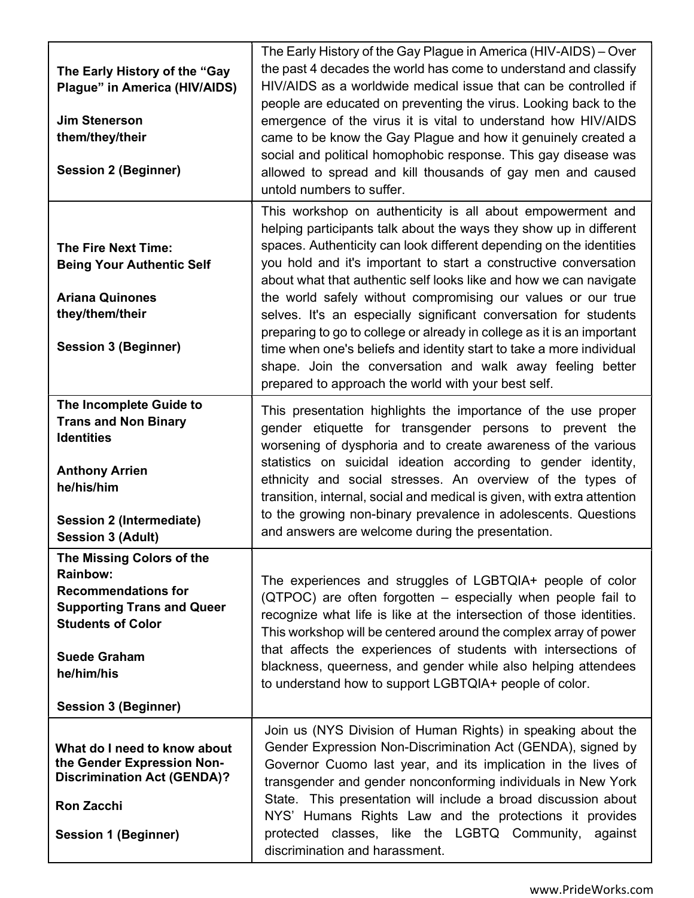| The Early History of the "Gay<br>Plague" in America (HIV/AIDS)<br><b>Jim Stenerson</b><br>them/they/their<br><b>Session 2 (Beginner)</b>                                                                        | The Early History of the Gay Plague in America (HIV-AIDS) – Over<br>the past 4 decades the world has come to understand and classify<br>HIV/AIDS as a worldwide medical issue that can be controlled if<br>people are educated on preventing the virus. Looking back to the<br>emergence of the virus it is vital to understand how HIV/AIDS<br>came to be know the Gay Plague and how it genuinely created a<br>social and political homophobic response. This gay disease was<br>allowed to spread and kill thousands of gay men and caused<br>untold numbers to suffer.                                                                                                                                                                                 |
|-----------------------------------------------------------------------------------------------------------------------------------------------------------------------------------------------------------------|------------------------------------------------------------------------------------------------------------------------------------------------------------------------------------------------------------------------------------------------------------------------------------------------------------------------------------------------------------------------------------------------------------------------------------------------------------------------------------------------------------------------------------------------------------------------------------------------------------------------------------------------------------------------------------------------------------------------------------------------------------|
| <b>The Fire Next Time:</b><br><b>Being Your Authentic Self</b><br><b>Ariana Quinones</b><br>they/them/their<br><b>Session 3 (Beginner)</b>                                                                      | This workshop on authenticity is all about empowerment and<br>helping participants talk about the ways they show up in different<br>spaces. Authenticity can look different depending on the identities<br>you hold and it's important to start a constructive conversation<br>about what that authentic self looks like and how we can navigate<br>the world safely without compromising our values or our true<br>selves. It's an especially significant conversation for students<br>preparing to go to college or already in college as it is an important<br>time when one's beliefs and identity start to take a more individual<br>shape. Join the conversation and walk away feeling better<br>prepared to approach the world with your best self. |
| The Incomplete Guide to<br><b>Trans and Non Binary</b><br><b>Identities</b><br><b>Anthony Arrien</b><br>he/his/him<br><b>Session 2 (Intermediate)</b><br><b>Session 3 (Adult)</b>                               | This presentation highlights the importance of the use proper<br>gender etiquette for transgender persons to prevent the<br>worsening of dysphoria and to create awareness of the various<br>statistics on suicidal ideation according to gender identity,<br>ethnicity and social stresses. An overview of the types of<br>transition, internal, social and medical is given, with extra attention<br>to the growing non-binary prevalence in adolescents. Questions<br>and answers are welcome during the presentation.                                                                                                                                                                                                                                  |
| The Missing Colors of the<br><b>Rainbow:</b><br><b>Recommendations for</b><br><b>Supporting Trans and Queer</b><br><b>Students of Color</b><br><b>Suede Graham</b><br>he/him/his<br><b>Session 3 (Beginner)</b> | The experiences and struggles of LGBTQIA+ people of color<br>(QTPOC) are often forgotten – especially when people fail to<br>recognize what life is like at the intersection of those identities.<br>This workshop will be centered around the complex array of power<br>that affects the experiences of students with intersections of<br>blackness, queerness, and gender while also helping attendees<br>to understand how to support LGBTQIA+ people of color.                                                                                                                                                                                                                                                                                         |
| What do I need to know about<br>the Gender Expression Non-<br><b>Discrimination Act (GENDA)?</b><br><b>Ron Zacchi</b><br><b>Session 1 (Beginner)</b>                                                            | Join us (NYS Division of Human Rights) in speaking about the<br>Gender Expression Non-Discrimination Act (GENDA), signed by<br>Governor Cuomo last year, and its implication in the lives of<br>transgender and gender nonconforming individuals in New York<br>State. This presentation will include a broad discussion about<br>NYS' Humans Rights Law and the protections it provides<br>protected classes, like the LGBTQ Community, against<br>discrimination and harassment.                                                                                                                                                                                                                                                                         |